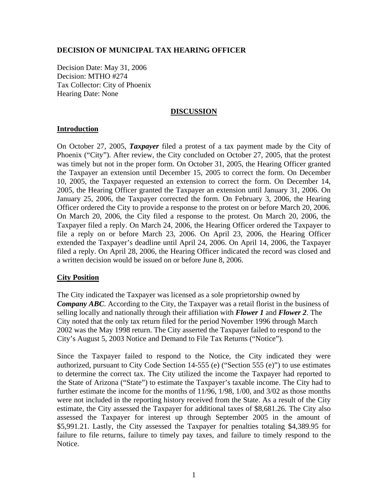## **DECISION OF MUNICIPAL TAX HEARING OFFICER**

Decision Date: May 31, 2006 Decision: MTHO #274 Tax Collector: City of Phoenix Hearing Date: None

#### **DISCUSSION**

### **Introduction**

On October 27, 2005, *Taxpayer* filed a protest of a tax payment made by the City of Phoenix ("City"). After review, the City concluded on October 27, 2005, that the protest was timely but not in the proper form. On October 31, 2005, the Hearing Officer granted the Taxpayer an extension until December 15, 2005 to correct the form. On December 10, 2005, the Taxpayer requested an extension to correct the form. On December 14, 2005, the Hearing Officer granted the Taxpayer an extension until January 31, 2006. On January 25, 2006, the Taxpayer corrected the form. On February 3, 2006, the Hearing Officer ordered the City to provide a response to the protest on or before March 20, 2006. On March 20, 2006, the City filed a response to the protest. On March 20, 2006, the Taxpayer filed a reply. On March 24, 2006, the Hearing Officer ordered the Taxpayer to file a reply on or before March 23, 2006. On April 23, 2006, the Hearing Officer extended the Taxpayer's deadline until April 24, 2006. On April 14, 2006, the Taxpayer filed a reply. On April 28, 2006, the Hearing Officer indicated the record was closed and a written decision would be issued on or before June 8, 2006.

### **City Position**

The City indicated the Taxpayer was licensed as a sole proprietorship owned by *Company ABC*. According to the City, the Taxpayer was a retail florist in the business of selling locally and nationally through their affiliation with *Flower 1* and *Flower 2*. The City noted that the only tax return filed for the period November 1996 through March 2002 was the May 1998 return. The City asserted the Taxpayer failed to respond to the City's August 5, 2003 Notice and Demand to File Tax Returns ("Notice").

Since the Taxpayer failed to respond to the Notice, the City indicated they were authorized, pursuant to City Code Section 14-555 (e) ("Section 555 (e)") to use estimates to determine the correct tax. The City utilized the income the Taxpayer had reported to the State of Arizona ("State") to estimate the Taxpayer's taxable income. The City had to further estimate the income for the months of 11/96, 1/98, 1/00, and 3/02 as those months were not included in the reporting history received from the State. As a result of the City estimate, the City assessed the Taxpayer for additional taxes of \$8,681.26. The City also assessed the Taxpayer for interest up through September 2005 in the amount of \$5,991.21. Lastly, the City assessed the Taxpayer for penalties totaling \$4,389.95 for failure to file returns, failure to timely pay taxes, and failure to timely respond to the Notice.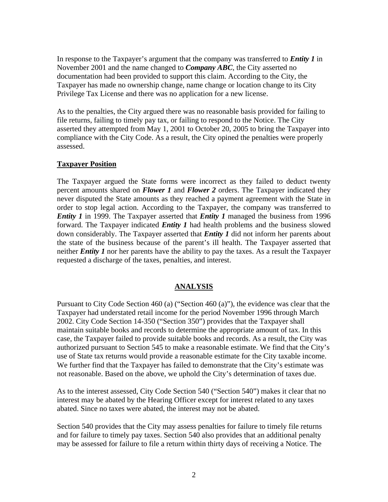In response to the Taxpayer's argument that the company was transferred to *Entity 1* in November 2001 and the name changed to *Company ABC*, the City asserted no documentation had been provided to support this claim. According to the City, the Taxpayer has made no ownership change, name change or location change to its City Privilege Tax License and there was no application for a new license.

As to the penalties, the City argued there was no reasonable basis provided for failing to file returns, failing to timely pay tax, or failing to respond to the Notice. The City asserted they attempted from May 1, 2001 to October 20, 2005 to bring the Taxpayer into compliance with the City Code. As a result, the City opined the penalties were properly assessed.

### **Taxpayer Position**

The Taxpayer argued the State forms were incorrect as they failed to deduct twenty percent amounts shared on *Flower 1* and *Flower 2* orders. The Taxpayer indicated they never disputed the State amounts as they reached a payment agreement with the State in order to stop legal action. According to the Taxpayer, the company was transferred to *Entity 1* in 1999. The Taxpayer asserted that *Entity 1* managed the business from 1996 forward. The Taxpayer indicated *Entity 1* had health problems and the business slowed down considerably. The Taxpayer asserted that *Entity 1* did not inform her parents about the state of the business because of the parent's ill health. The Taxpayer asserted that neither *Entity 1* nor her parents have the ability to pay the taxes. As a result the Taxpayer requested a discharge of the taxes, penalties, and interest.

### **ANALYSIS**

Pursuant to City Code Section 460 (a) ("Section 460 (a)"), the evidence was clear that the Taxpayer had understated retail income for the period November 1996 through March 2002. City Code Section 14-350 ("Section 350") provides that the Taxpayer shall maintain suitable books and records to determine the appropriate amount of tax. In this case, the Taxpayer failed to provide suitable books and records. As a result, the City was authorized pursuant to Section 545 to make a reasonable estimate. We find that the City's use of State tax returns would provide a reasonable estimate for the City taxable income. We further find that the Taxpayer has failed to demonstrate that the City's estimate was not reasonable. Based on the above, we uphold the City's determination of taxes due.

As to the interest assessed, City Code Section 540 ("Section 540") makes it clear that no interest may be abated by the Hearing Officer except for interest related to any taxes abated. Since no taxes were abated, the interest may not be abated.

Section 540 provides that the City may assess penalties for failure to timely file returns and for failure to timely pay taxes. Section 540 also provides that an additional penalty may be assessed for failure to file a return within thirty days of receiving a Notice. The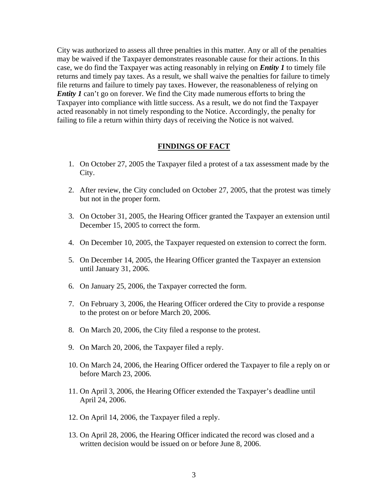City was authorized to assess all three penalties in this matter. Any or all of the penalties may be waived if the Taxpayer demonstrates reasonable cause for their actions. In this case, we do find the Taxpayer was acting reasonably in relying on *Entity 1* to timely file returns and timely pay taxes. As a result, we shall waive the penalties for failure to timely file returns and failure to timely pay taxes. However, the reasonableness of relying on *Entity 1* can't go on forever. We find the City made numerous efforts to bring the Taxpayer into compliance with little success. As a result, we do not find the Taxpayer acted reasonably in not timely responding to the Notice. Accordingly, the penalty for failing to file a return within thirty days of receiving the Notice is not waived.

#### **FINDINGS OF FACT**

- 1. On October 27, 2005 the Taxpayer filed a protest of a tax assessment made by the City.
- 2. After review, the City concluded on October 27, 2005, that the protest was timely but not in the proper form.
- 3. On October 31, 2005, the Hearing Officer granted the Taxpayer an extension until December 15, 2005 to correct the form.
- 4. On December 10, 2005, the Taxpayer requested on extension to correct the form.
- 5. On December 14, 2005, the Hearing Officer granted the Taxpayer an extension until January 31, 2006.
- 6. On January 25, 2006, the Taxpayer corrected the form.
- 7. On February 3, 2006, the Hearing Officer ordered the City to provide a response to the protest on or before March 20, 2006.
- 8. On March 20, 2006, the City filed a response to the protest.
- 9. On March 20, 2006, the Taxpayer filed a reply.
- 10. On March 24, 2006, the Hearing Officer ordered the Taxpayer to file a reply on or before March 23, 2006.
- 11. On April 3, 2006, the Hearing Officer extended the Taxpayer's deadline until April 24, 2006.
- 12. On April 14, 2006, the Taxpayer filed a reply.
- 13. On April 28, 2006, the Hearing Officer indicated the record was closed and a written decision would be issued on or before June 8, 2006.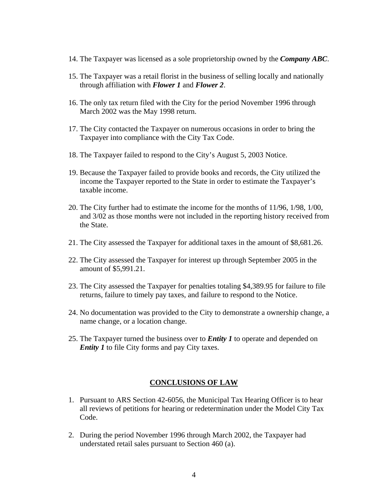- 14. The Taxpayer was licensed as a sole proprietorship owned by the *Company ABC*.
- 15. The Taxpayer was a retail florist in the business of selling locally and nationally through affiliation with *Flower 1* and *Flower 2*.
- 16. The only tax return filed with the City for the period November 1996 through March 2002 was the May 1998 return.
- 17. The City contacted the Taxpayer on numerous occasions in order to bring the Taxpayer into compliance with the City Tax Code.
- 18. The Taxpayer failed to respond to the City's August 5, 2003 Notice.
- 19. Because the Taxpayer failed to provide books and records, the City utilized the income the Taxpayer reported to the State in order to estimate the Taxpayer's taxable income.
- 20. The City further had to estimate the income for the months of 11/96, 1/98, 1/00, and 3/02 as those months were not included in the reporting history received from the State.
- 21. The City assessed the Taxpayer for additional taxes in the amount of \$8,681.26.
- 22. The City assessed the Taxpayer for interest up through September 2005 in the amount of \$5,991.21.
- 23. The City assessed the Taxpayer for penalties totaling \$4,389.95 for failure to file returns, failure to timely pay taxes, and failure to respond to the Notice.
- 24. No documentation was provided to the City to demonstrate a ownership change, a name change, or a location change.
- 25. The Taxpayer turned the business over to *Entity 1* to operate and depended on *Entity 1* to file City forms and pay City taxes.

#### **CONCLUSIONS OF LAW**

- 1. Pursuant to ARS Section 42-6056, the Municipal Tax Hearing Officer is to hear all reviews of petitions for hearing or redetermination under the Model City Tax Code.
- 2. During the period November 1996 through March 2002, the Taxpayer had understated retail sales pursuant to Section 460 (a).